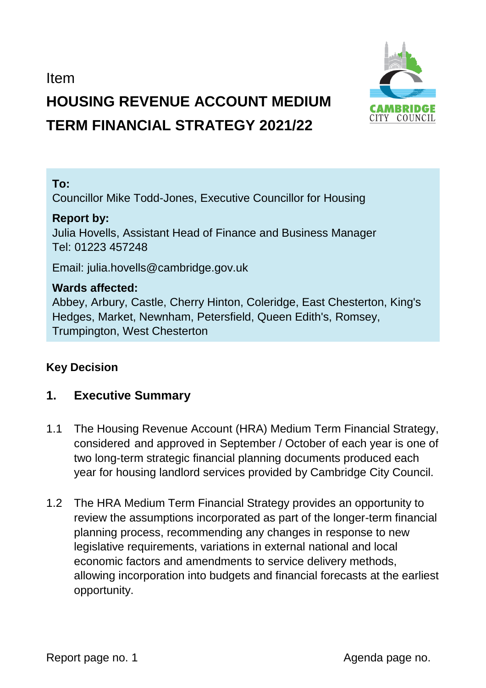Item

# **HOUSING REVENUE ACCOUNT MEDIUM TERM FINANCIAL STRATEGY 2021/22**



Councillor Mike Todd-Jones, Executive Councillor for Housing

#### **Report by:**

Julia Hovells, Assistant Head of Finance and Business Manager Tel: 01223 457248

Email: julia.hovells@cambridge.gov.uk

#### **Wards affected:**

Abbey, Arbury, Castle, Cherry Hinton, Coleridge, East Chesterton, King's Hedges, Market, Newnham, Petersfield, Queen Edith's, Romsey, Trumpington, West Chesterton

#### **Key Decision**

# **1. Executive Summary**

- 1.1 The Housing Revenue Account (HRA) Medium Term Financial Strategy, considered and approved in September / October of each year is one of two long-term strategic financial planning documents produced each year for housing landlord services provided by Cambridge City Council.
- 1.2 The HRA Medium Term Financial Strategy provides an opportunity to review the assumptions incorporated as part of the longer-term financial planning process, recommending any changes in response to new legislative requirements, variations in external national and local economic factors and amendments to service delivery methods, allowing incorporation into budgets and financial forecasts at the earliest opportunity.

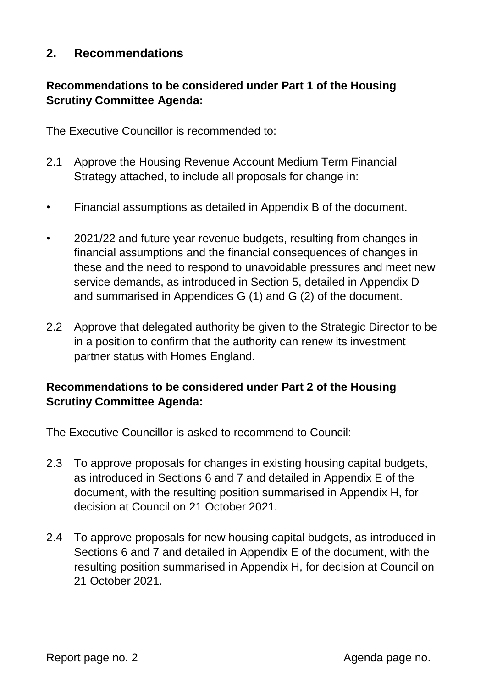## **2. Recommendations**

## **Recommendations to be considered under Part 1 of the Housing Scrutiny Committee Agenda:**

The Executive Councillor is recommended to:

- 2.1 Approve the Housing Revenue Account Medium Term Financial Strategy attached, to include all proposals for change in:
- Financial assumptions as detailed in Appendix B of the document.
- 2021/22 and future year revenue budgets, resulting from changes in financial assumptions and the financial consequences of changes in these and the need to respond to unavoidable pressures and meet new service demands, as introduced in Section 5, detailed in Appendix D and summarised in Appendices G (1) and G (2) of the document.
- 2.2 Approve that delegated authority be given to the Strategic Director to be in a position to confirm that the authority can renew its investment partner status with Homes England.

#### **Recommendations to be considered under Part 2 of the Housing Scrutiny Committee Agenda:**

The Executive Councillor is asked to recommend to Council:

- 2.3 To approve proposals for changes in existing housing capital budgets, as introduced in Sections 6 and 7 and detailed in Appendix E of the document, with the resulting position summarised in Appendix H, for decision at Council on 21 October 2021.
- 2.4 To approve proposals for new housing capital budgets, as introduced in Sections 6 and 7 and detailed in Appendix E of the document, with the resulting position summarised in Appendix H, for decision at Council on 21 October 2021.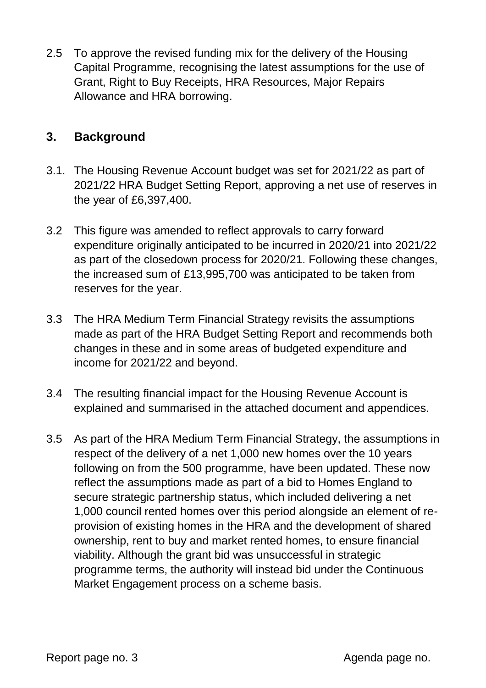2.5 To approve the revised funding mix for the delivery of the Housing Capital Programme, recognising the latest assumptions for the use of Grant, Right to Buy Receipts, HRA Resources, Major Repairs Allowance and HRA borrowing.

## **3. Background**

- 3.1. The Housing Revenue Account budget was set for 2021/22 as part of 2021/22 HRA Budget Setting Report, approving a net use of reserves in the year of £6,397,400.
- 3.2 This figure was amended to reflect approvals to carry forward expenditure originally anticipated to be incurred in 2020/21 into 2021/22 as part of the closedown process for 2020/21. Following these changes, the increased sum of £13,995,700 was anticipated to be taken from reserves for the year.
- 3.3 The HRA Medium Term Financial Strategy revisits the assumptions made as part of the HRA Budget Setting Report and recommends both changes in these and in some areas of budgeted expenditure and income for 2021/22 and beyond.
- 3.4 The resulting financial impact for the Housing Revenue Account is explained and summarised in the attached document and appendices.
- 3.5 As part of the HRA Medium Term Financial Strategy, the assumptions in respect of the delivery of a net 1,000 new homes over the 10 years following on from the 500 programme, have been updated. These now reflect the assumptions made as part of a bid to Homes England to secure strategic partnership status, which included delivering a net 1,000 council rented homes over this period alongside an element of reprovision of existing homes in the HRA and the development of shared ownership, rent to buy and market rented homes, to ensure financial viability. Although the grant bid was unsuccessful in strategic programme terms, the authority will instead bid under the Continuous Market Engagement process on a scheme basis.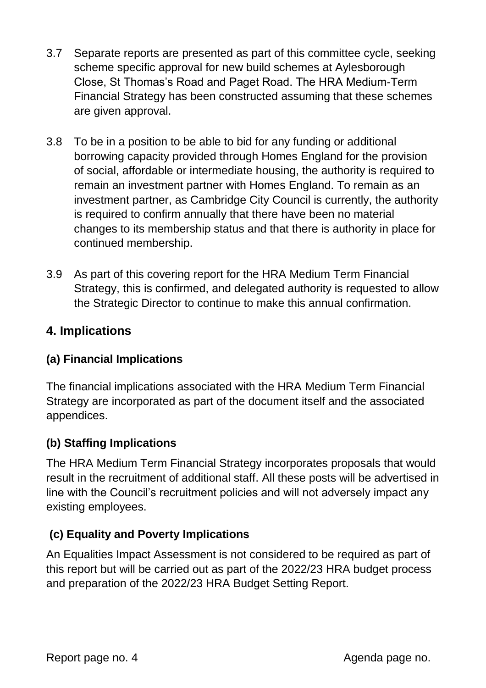- 3.7 Separate reports are presented as part of this committee cycle, seeking scheme specific approval for new build schemes at Aylesborough Close, St Thomas's Road and Paget Road. The HRA Medium-Term Financial Strategy has been constructed assuming that these schemes are given approval.
- 3.8 To be in a position to be able to bid for any funding or additional borrowing capacity provided through Homes England for the provision of social, affordable or intermediate housing, the authority is required to remain an investment partner with Homes England. To remain as an investment partner, as Cambridge City Council is currently, the authority is required to confirm annually that there have been no material changes to its membership status and that there is authority in place for continued membership.
- 3.9 As part of this covering report for the HRA Medium Term Financial Strategy, this is confirmed, and delegated authority is requested to allow the Strategic Director to continue to make this annual confirmation.

# **4. Implications**

#### **(a) Financial Implications**

The financial implications associated with the HRA Medium Term Financial Strategy are incorporated as part of the document itself and the associated appendices.

#### **(b) Staffing Implications**

The HRA Medium Term Financial Strategy incorporates proposals that would result in the recruitment of additional staff. All these posts will be advertised in line with the Council's recruitment policies and will not adversely impact any existing employees.

#### **(c) Equality and Poverty Implications**

An Equalities Impact Assessment is not considered to be required as part of this report but will be carried out as part of the 2022/23 HRA budget process and preparation of the 2022/23 HRA Budget Setting Report.